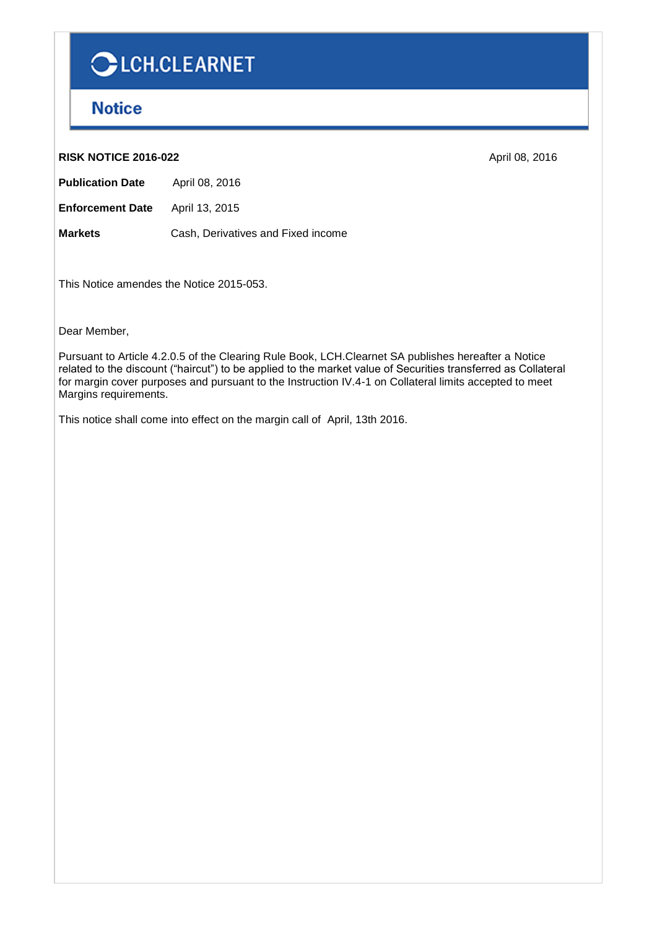# CLCH.CLEARNET

## **Notice**

#### **RISK NOTICE 2016-022** April 08, 2016

**Publication Date** April 08, 2016

**Enforcement Date** April 13, 2015

**Markets** Cash, Derivatives and Fixed income

This Notice amendes the Notice 2015-053.

Dear Member,

Pursuant to Article 4.2.0.5 of the Clearing Rule Book, LCH.Clearnet SA publishes hereafter a Notice related to the discount ("haircut") to be applied to the market value of Securities transferred as Collateral for margin cover purposes and pursuant to the Instruction IV.4-1 on Collateral limits accepted to meet Margins requirements.

This notice shall come into effect on the margin call of April, 13th 2016.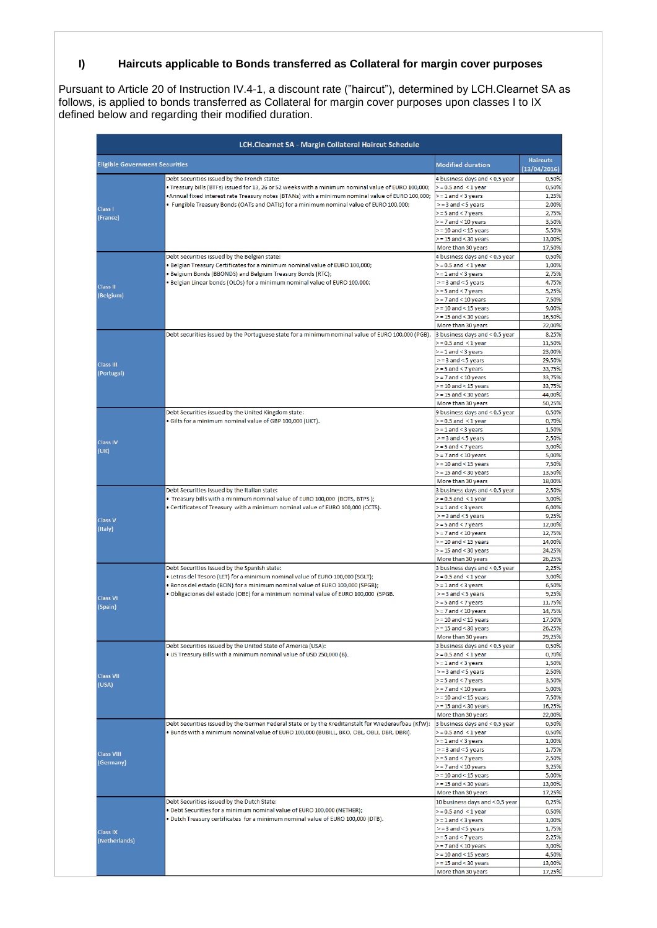### **I) Haircuts applicable to Bonds transferred as Collateral for margin cover purposes**

Pursuant to Article 20 of Instruction IV.4-1, a discount rate ("haircut"), determined by LCH.Clearnet SA as follows, is applied to bonds transferred as Collateral for margin cover purposes upon classes I to IX defined below and regarding their modified duration.

|                                       | <b>LCH.Clearnet SA - Margin Collateral Haircut Schedule</b>                                                                                                                                                                                                                                                                                        |                                                            |                                 |
|---------------------------------------|----------------------------------------------------------------------------------------------------------------------------------------------------------------------------------------------------------------------------------------------------------------------------------------------------------------------------------------------------|------------------------------------------------------------|---------------------------------|
| <b>Eligible Government Securities</b> |                                                                                                                                                                                                                                                                                                                                                    | <b>Modified duration</b>                                   | <b>Haircuts</b><br>(13/04/2016) |
|                                       | Debt Securities issued by the French state:<br>. Treasury bills (BTFs) issued for 13, 26 or 52 weeks with a minimum nominal value of EURO 100,000;<br>. Annual fixed interest rate Treasury notes (BTANs) with a minimum nominal value of EURO 100,000;<br>. Fungible Treasury Bonds (OATs and OATIs) for a minimum nominal value of EURO 100,000; | 4 business days and < 0,5 year<br>$>$ = 0.5 and $<$ 1 year | 0,50%<br>0,50%                  |
|                                       |                                                                                                                                                                                                                                                                                                                                                    | $>= 1$ and < 3 years                                       | 1,25%                           |
|                                       |                                                                                                                                                                                                                                                                                                                                                    | $>=$ 3 and $<$ 5 years                                     | 2,00%                           |
| <b>Class I</b>                        |                                                                                                                                                                                                                                                                                                                                                    | $>=$ 5 and $<$ 7 years                                     | 2,75%                           |
| (France)                              |                                                                                                                                                                                                                                                                                                                                                    | $>$ = 7 and < 10 years                                     | 3,50%                           |
|                                       |                                                                                                                                                                                                                                                                                                                                                    | $>$ = 10 and < 15 years                                    | 5,50%                           |
|                                       |                                                                                                                                                                                                                                                                                                                                                    | $>$ = 15 and < 30 years                                    | 13,00%                          |
|                                       |                                                                                                                                                                                                                                                                                                                                                    | More than 30 years                                         | 17,50%                          |
|                                       | Debt Securities issued by the Belgian state:<br>. Belgian Treasury Certificates for a minimum nominal value of EURO 100,000;<br>. Belgium Bonds (BBONDS) and Belgium Treasury Bonds (RTC);<br>. Belgian Linear bonds (OLOs) for a minimum nominal value of EURO 100,000;                                                                           | 4 business days and < 0,5 year                             | 0,50%                           |
|                                       |                                                                                                                                                                                                                                                                                                                                                    | $>$ = 0.5 and < 1 year                                     | 1,00%                           |
|                                       |                                                                                                                                                                                                                                                                                                                                                    | $>= 1$ and < 3 years                                       | 2,75%                           |
| <b>Class II</b>                       |                                                                                                                                                                                                                                                                                                                                                    | $>=$ 3 and $<$ 5 years<br>= 5 and < 7 years                | 4,75%<br>5,25%                  |
| (Belgium)                             |                                                                                                                                                                                                                                                                                                                                                    | $>$ = 7 and < 10 years                                     | 7,50%                           |
|                                       |                                                                                                                                                                                                                                                                                                                                                    | $>$ = 10 and < 15 years                                    | 9,00%                           |
|                                       |                                                                                                                                                                                                                                                                                                                                                    | $>$ = 15 and < 30 years                                    | 16,50%                          |
|                                       |                                                                                                                                                                                                                                                                                                                                                    | More than 30 years                                         | 22,00%                          |
|                                       | Debt securities issued by the Portuguese state for a minimum nominal value of EURO 100,000 (PGB).                                                                                                                                                                                                                                                  | 3 business days and < 0,5 year                             | 8,25%                           |
|                                       |                                                                                                                                                                                                                                                                                                                                                    | $>$ = 0.5 and $<$ 1 year                                   | 11,50%                          |
|                                       |                                                                                                                                                                                                                                                                                                                                                    | $>= 1$ and $<$ 3 years                                     | 23,00%                          |
|                                       |                                                                                                                                                                                                                                                                                                                                                    | $>= 3$ and $< 5$ years                                     | 29,50%                          |
| <b>Class III</b><br>(Portugal)        |                                                                                                                                                                                                                                                                                                                                                    | = 5 and < 7 years >                                        | 33,75%                          |
|                                       |                                                                                                                                                                                                                                                                                                                                                    | $>$ = 7 and < 10 years                                     | 33,75%                          |
|                                       |                                                                                                                                                                                                                                                                                                                                                    | $>$ = 10 and < 15 years                                    | 33,75%                          |
|                                       |                                                                                                                                                                                                                                                                                                                                                    | $>= 15$ and $< 30$ years                                   | 44,00%                          |
|                                       |                                                                                                                                                                                                                                                                                                                                                    | More than 30 years                                         | 50,25%                          |
|                                       | Debt Securities issued by the United Kingdom state:                                                                                                                                                                                                                                                                                                | 9 business days and < 0,5 year                             | 0,50%                           |
|                                       | · Gilts for a minimum nominal value of GBP 100,000 (UKT).                                                                                                                                                                                                                                                                                          | $>$ = 0.5 and $<$ 1 year                                   | 0,70%                           |
|                                       |                                                                                                                                                                                                                                                                                                                                                    | $>= 1$ and $<$ 3 years                                     | 1,50%                           |
| <b>Class IV</b>                       |                                                                                                                                                                                                                                                                                                                                                    | $>=$ 3 and $<$ 5 years                                     | 2,50%                           |
| (UK)                                  |                                                                                                                                                                                                                                                                                                                                                    | $>= 5$ and $< 7$ years<br>$>$ = 7 and < 10 years           | 3,00%<br>5,00%                  |
|                                       |                                                                                                                                                                                                                                                                                                                                                    | $>$ = 10 and < 15 years                                    | 7,50%                           |
|                                       |                                                                                                                                                                                                                                                                                                                                                    | $>$ = 15 and < 30 years                                    | 13,50%                          |
|                                       |                                                                                                                                                                                                                                                                                                                                                    | More than 30 years                                         | 18,00%                          |
|                                       | Debt Securities issued by the Italian state:                                                                                                                                                                                                                                                                                                       | 3 business days and < 0,5 year                             | 2,50%                           |
|                                       | . Treasury bills with a minimum nominal value of EURO 100,000 (BOTS, BTPS);                                                                                                                                                                                                                                                                        | $>$ = 0.5 and $<$ 1 year                                   | 3,00%                           |
|                                       | . Certificates of Treasury with a minimum nominal value of EURO 100,000 (CCTS).                                                                                                                                                                                                                                                                    | $>= 1$ and $<$ 3 years                                     | 6,00%                           |
|                                       |                                                                                                                                                                                                                                                                                                                                                    | $>=$ 3 and $<$ 5 years                                     | 9,25%                           |
| <b>Class V</b><br>(Italy)             |                                                                                                                                                                                                                                                                                                                                                    | $>= 5$ and $< 7$ years                                     | 12,00%                          |
|                                       |                                                                                                                                                                                                                                                                                                                                                    | $>$ = 7 and < 10 years                                     | 12,75%                          |
|                                       |                                                                                                                                                                                                                                                                                                                                                    | $>$ = 10 and < 15 years                                    | 14,00%                          |
|                                       |                                                                                                                                                                                                                                                                                                                                                    | $>$ = 15 and < 30 years                                    | 24,25%                          |
|                                       | Debt Securities issued by the Spanish state:<br>. Letras del Tesoro (LET) for a minimum nominal value of EURO 100,000 (SGLT);<br>. Bonos del estado (BON) for a minimum nominal value of EURO 100,000 (SPGB);<br>. Obligaciones del estado (OBE) for a minimum nominal value of EURO 100,000 (SPGB.                                                | More than 30 years                                         | 26,25%                          |
|                                       |                                                                                                                                                                                                                                                                                                                                                    | 3 business days and < 0,5 year                             | 2,25%                           |
|                                       |                                                                                                                                                                                                                                                                                                                                                    | $>$ = 0.5 and $<$ 1 year                                   | 3,00%                           |
|                                       |                                                                                                                                                                                                                                                                                                                                                    | $>=$ 1 and $<$ 3 years<br>$>= 3$ and $< 5$ years           | 6,50%                           |
| <b>Class VI</b>                       |                                                                                                                                                                                                                                                                                                                                                    | $>= 5$ and $< 7$ years                                     | 9,25%<br>11,75%                 |
| (Spain)                               |                                                                                                                                                                                                                                                                                                                                                    | $>$ = 7 and < 10 years                                     | 14,75%                          |
|                                       |                                                                                                                                                                                                                                                                                                                                                    | $>$ = 10 and < 15 years                                    | 17,50%                          |
|                                       |                                                                                                                                                                                                                                                                                                                                                    | $= 15$ and $<$ 30 years                                    | 26,25%                          |
|                                       |                                                                                                                                                                                                                                                                                                                                                    | More than 30 years                                         | 29,25%                          |
|                                       | Debt Securities issued by the United State of America (USA):                                                                                                                                                                                                                                                                                       | 3 business days and < 0,5 year                             | 0,50%                           |
|                                       | . US Treasury Bills with a minimum nominal value of USD 250,000 (B).                                                                                                                                                                                                                                                                               | $>$ = 0.5 and < 1 year                                     | 0,70%                           |
|                                       |                                                                                                                                                                                                                                                                                                                                                    | $>= 1$ and $<$ 3 years                                     | 1,50%                           |
| <b>Class VII</b>                      |                                                                                                                                                                                                                                                                                                                                                    | $>=$ 3 and $<$ 5 years                                     | 2,50%                           |
| (USA)                                 |                                                                                                                                                                                                                                                                                                                                                    | >=5 and <7 years                                           | 3,50%                           |
|                                       |                                                                                                                                                                                                                                                                                                                                                    | $>= 7$ and $< 10$ years                                    | 5,00%                           |
|                                       |                                                                                                                                                                                                                                                                                                                                                    | $>$ = 10 and < 15 years                                    | 7,50%                           |
|                                       |                                                                                                                                                                                                                                                                                                                                                    | $>$ = 15 and < 30 years<br>More than 30 years              | 16,25%                          |
| <b>Class VIII</b><br>(Germany)        | Debt Securities issued by the German Federal State or by the Kreditanstalt für Wiederaufbau (KfW):<br>. Bunds with a minimum nominal value of EURO 100,000 (BUBILL, BKO, OBL, OBLI, DBR, DBRI).                                                                                                                                                    | 3 business days and < 0,5 year                             | 22,00%                          |
|                                       |                                                                                                                                                                                                                                                                                                                                                    | $>$ = 0.5 and $<$ 1 year                                   | 0,50%<br>0,50%                  |
|                                       |                                                                                                                                                                                                                                                                                                                                                    | $>=$ 1 and $<$ 3 years                                     | 1,00%                           |
|                                       |                                                                                                                                                                                                                                                                                                                                                    | $>=$ 3 and $<$ 5 years                                     | 1,75%                           |
|                                       |                                                                                                                                                                                                                                                                                                                                                    | $>=$ 5 and $<$ 7 years                                     | 2,50%                           |
|                                       |                                                                                                                                                                                                                                                                                                                                                    | $>$ = 7 and < 10 years                                     | 3,25%                           |
|                                       |                                                                                                                                                                                                                                                                                                                                                    | $>$ = 10 and < 15 years                                    | 5,00%                           |
|                                       |                                                                                                                                                                                                                                                                                                                                                    | $>$ = 15 and < 30 years                                    | 13,00%                          |
|                                       |                                                                                                                                                                                                                                                                                                                                                    | More than 30 years                                         | 17,25%                          |
|                                       | Debt Securities issued by the Dutch State:<br>. Debt Securities for a minimum nominal value of EURO 100,000 (NETHER);<br>. Dutch Treasury certificates for a minimum nominal value of EURO 100,000 (DTB).                                                                                                                                          | 10 business days and < 0,5 year                            | 0,25%                           |
|                                       |                                                                                                                                                                                                                                                                                                                                                    | $> = 0.5$ and $<$ 1 year                                   | 0,50%                           |
| <b>Class IX</b><br>(Netherlands)      |                                                                                                                                                                                                                                                                                                                                                    | $>= 1$ and $<$ 3 years                                     | 1,00%                           |
|                                       |                                                                                                                                                                                                                                                                                                                                                    | $>= 3$ and $< 5$ years                                     | 1,75%                           |
|                                       |                                                                                                                                                                                                                                                                                                                                                    | > = 5 and < 7 years                                        | 2,25%                           |
|                                       |                                                                                                                                                                                                                                                                                                                                                    | $>$ = 7 and < 10 years                                     | 3,00%                           |
|                                       |                                                                                                                                                                                                                                                                                                                                                    | $>$ = 10 and < 15 years                                    | 4,50%                           |
|                                       |                                                                                                                                                                                                                                                                                                                                                    | $>$ = 15 and < 30 years                                    | 13,00%                          |
|                                       |                                                                                                                                                                                                                                                                                                                                                    | More than 30 years                                         | 17,25%                          |